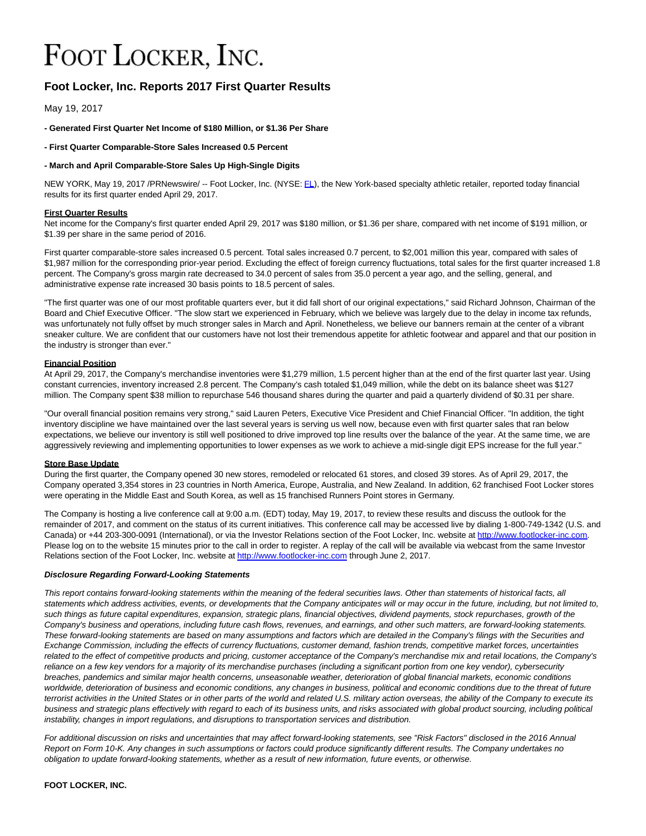# FOOT LOCKER, INC.

# **Foot Locker, Inc. Reports 2017 First Quarter Results**

May 19, 2017

## **- Generated First Quarter Net Income of \$180 Million, or \$1.36 Per Share**

**- First Quarter Comparable-Store Sales Increased 0.5 Percent**

## **- March and April Comparable-Store Sales Up High-Single Digits**

NEW YORK, May 19, 2017 /PRNewswire/ -- Foot Locker, Inc. (NYSE: [FL\),](file:///C:/Windows/Temp/ABCpdf/aacba5dd-a453-46b1-81e3-0ca301627a76.html#financial-modal) the New York-based specialty athletic retailer, reported today financial results for its first quarter ended April 29, 2017.

## **First Quarter Results**

Net income for the Company's first quarter ended April 29, 2017 was \$180 million, or \$1.36 per share, compared with net income of \$191 million, or \$1.39 per share in the same period of 2016.

First quarter comparable-store sales increased 0.5 percent. Total sales increased 0.7 percent, to \$2,001 million this year, compared with sales of \$1,987 million for the corresponding prior-year period. Excluding the effect of foreign currency fluctuations, total sales for the first quarter increased 1.8 percent. The Company's gross margin rate decreased to 34.0 percent of sales from 35.0 percent a year ago, and the selling, general, and administrative expense rate increased 30 basis points to 18.5 percent of sales.

"The first quarter was one of our most profitable quarters ever, but it did fall short of our original expectations," said Richard Johnson, Chairman of the Board and Chief Executive Officer. "The slow start we experienced in February, which we believe was largely due to the delay in income tax refunds, was unfortunately not fully offset by much stronger sales in March and April. Nonetheless, we believe our banners remain at the center of a vibrant sneaker culture. We are confident that our customers have not lost their tremendous appetite for athletic footwear and apparel and that our position in the industry is stronger than ever."

## **Financial Position**

At April 29, 2017, the Company's merchandise inventories were \$1,279 million, 1.5 percent higher than at the end of the first quarter last year. Using constant currencies, inventory increased 2.8 percent. The Company's cash totaled \$1,049 million, while the debt on its balance sheet was \$127 million. The Company spent \$38 million to repurchase 546 thousand shares during the quarter and paid a quarterly dividend of \$0.31 per share.

"Our overall financial position remains very strong," said Lauren Peters, Executive Vice President and Chief Financial Officer. "In addition, the tight inventory discipline we have maintained over the last several years is serving us well now, because even with first quarter sales that ran below expectations, we believe our inventory is still well positioned to drive improved top line results over the balance of the year. At the same time, we are aggressively reviewing and implementing opportunities to lower expenses as we work to achieve a mid-single digit EPS increase for the full year."

#### **Store Base Update**

During the first quarter, the Company opened 30 new stores, remodeled or relocated 61 stores, and closed 39 stores. As of April 29, 2017, the Company operated 3,354 stores in 23 countries in North America, Europe, Australia, and New Zealand. In addition, 62 franchised Foot Locker stores were operating in the Middle East and South Korea, as well as 15 franchised Runners Point stores in Germany.

The Company is hosting a live conference call at 9:00 a.m. (EDT) today, May 19, 2017, to review these results and discuss the outlook for the remainder of 2017, and comment on the status of its current initiatives. This conference call may be accessed live by dialing 1-800-749-1342 (U.S. and Canada) or +44 203-300-0091 (International), or via the Investor Relations section of the Foot Locker, Inc. website at [http://www.footlocker-inc.com.](http://www.footlocker-inc.com/investors.cfm?page=webcasts) Please log on to the website 15 minutes prior to the call in order to register. A replay of the call will be available via webcast from the same Investor Relations section of the Foot Locker, Inc. website a[t http://www.footlocker-inc.com t](http://www.footlocker-inc.com/investors.cfm?page=webcasts)hrough June 2, 2017.

#### **Disclosure Regarding Forward-Looking Statements**

This report contains forward-looking statements within the meaning of the federal securities laws. Other than statements of historical facts, all statements which address activities, events, or developments that the Company anticipates will or may occur in the future, including, but not limited to, such things as future capital expenditures, expansion, strategic plans, financial objectives, dividend payments, stock repurchases, growth of the Company's business and operations, including future cash flows, revenues, and earnings, and other such matters, are forward-looking statements. These forward-looking statements are based on many assumptions and factors which are detailed in the Company's filings with the Securities and Exchange Commission, including the effects of currency fluctuations, customer demand, fashion trends, competitive market forces, uncertainties related to the effect of competitive products and pricing, customer acceptance of the Company's merchandise mix and retail locations, the Company's reliance on a few key vendors for a majority of its merchandise purchases (including a significant portion from one key vendor), cybersecurity breaches, pandemics and similar major health concerns, unseasonable weather, deterioration of global financial markets, economic conditions worldwide, deterioration of business and economic conditions, any changes in business, political and economic conditions due to the threat of future terrorist activities in the United States or in other parts of the world and related U.S. military action overseas, the ability of the Company to execute its business and strategic plans effectively with regard to each of its business units, and risks associated with global product sourcing, including political instability, changes in import regulations, and disruptions to transportation services and distribution.

For additional discussion on risks and uncertainties that may affect forward-looking statements, see "Risk Factors" disclosed in the 2016 Annual Report on Form 10-K. Any changes in such assumptions or factors could produce significantly different results. The Company undertakes no obligation to update forward-looking statements, whether as a result of new information, future events, or otherwise.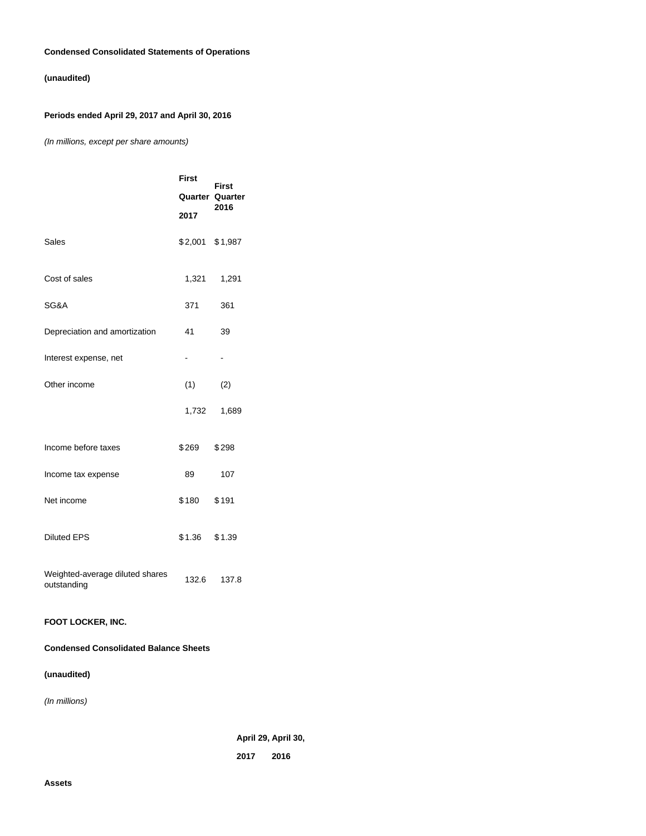## **Condensed Consolidated Statements of Operations**

# **(unaudited)**

# **Periods ended April 29, 2017 and April 30, 2016**

(In millions, except per share amounts)

|                                                | <b>First</b><br>2017     | <b>First</b><br><b>Quarter Quarter</b><br>2016 |
|------------------------------------------------|--------------------------|------------------------------------------------|
| <b>Sales</b>                                   | \$2,001 \$1,987          |                                                |
| Cost of sales                                  | 1,321                    | 1,291                                          |
| SG&A                                           | 371                      | 361                                            |
| Depreciation and amortization                  | 41                       | 39                                             |
| Interest expense, net                          | $\overline{\phantom{0}}$ | $\qquad \qquad \blacksquare$                   |
| Other income                                   | (1)                      | (2)                                            |
|                                                | 1,732                    | 1,689                                          |
| Income before taxes                            | \$269                    | \$298                                          |
| Income tax expense                             | 89                       | 107                                            |
| Net income                                     | \$180                    | \$191                                          |
| <b>Diluted EPS</b>                             | \$1.36                   | \$1.39                                         |
| Weighted-average diluted shares<br>outstanding | 132.6                    | 137.8                                          |

## **FOOT LOCKER, INC.**

## **Condensed Consolidated Balance Sheets**

# **(unaudited)**

(In millions)

**April 29, April 30,**

**2017 2016**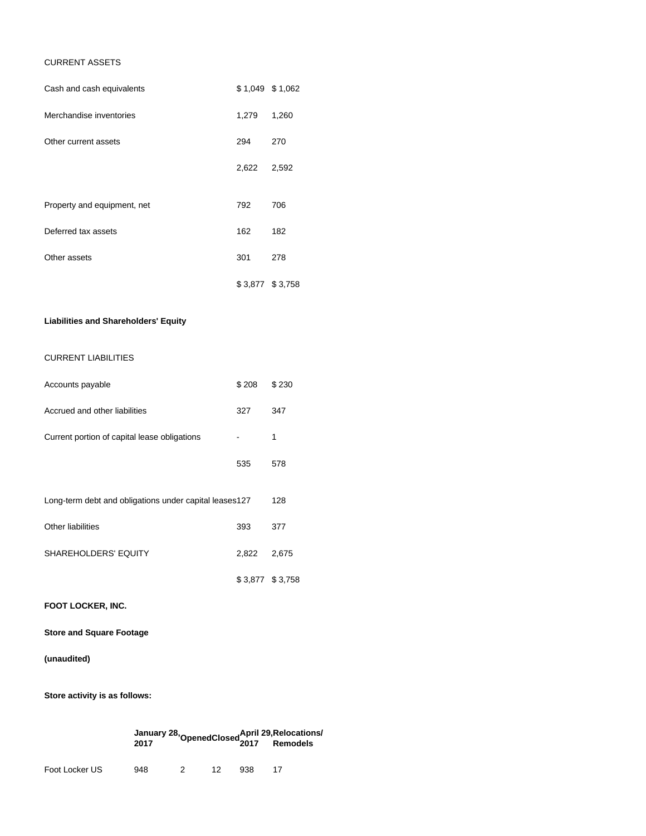## CURRENT ASSETS

| Cash and cash equivalents   | \$1,049 \$1,062 |       |
|-----------------------------|-----------------|-------|
| Merchandise inventories     | 1,279           | 1,260 |
| Other current assets        | 294             | 270   |
|                             | 2,622           | 2,592 |
| Property and equipment, net | 792             | 706   |
|                             |                 |       |
| Deferred tax assets         | 162             | 182   |
| Other assets                | 301             | 278   |
|                             | \$3,877 \$3,758 |       |

## **Liabilities and Shareholders' Equity**

## CURRENT LIABILITIES

| Accounts payable                                       | \$208           | \$230 |
|--------------------------------------------------------|-----------------|-------|
| Accrued and other liabilities                          | 327             | 347   |
| Current portion of capital lease obligations           |                 | 1     |
|                                                        | 535             | 578   |
| Long-term debt and obligations under capital leases127 |                 | 128   |
| Other liabilities                                      | 393             | 377   |
| <b>SHAREHOLDERS' EQUITY</b>                            | 2,822           | 2,675 |
|                                                        | \$3,877 \$3,758 |       |

**FOOT LOCKER, INC.**

**Store and Square Footage**

# **(unaudited)**

**Store activity is as follows:**

| January 28, OpenedClosed April 29, Relocations/<br>2017 Remodels |  |  |  |
|------------------------------------------------------------------|--|--|--|
|                                                                  |  |  |  |

Foot Locker US 948 2 12 938 17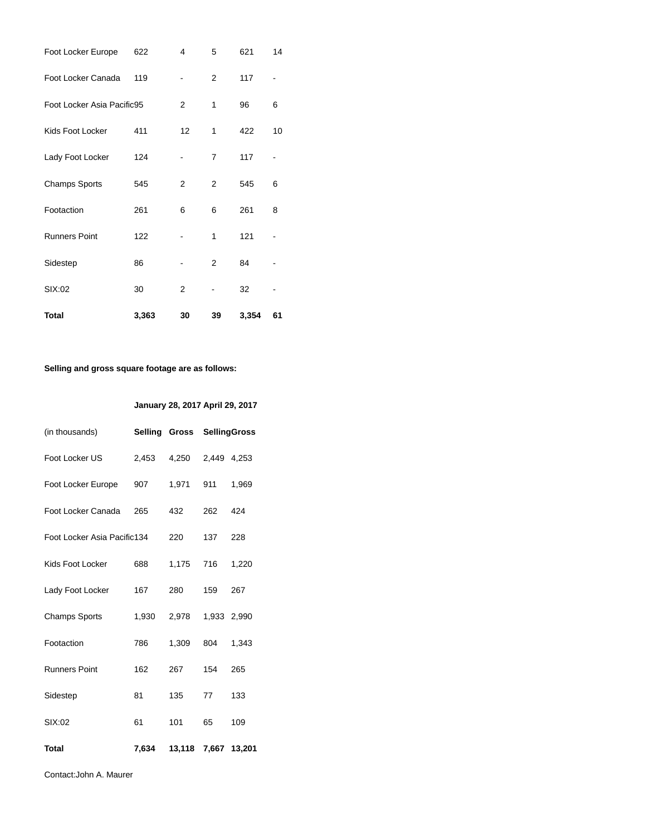| <b>Total</b>               | 3,363 | 30             | 39 | 3,354 | 61 |
|----------------------------|-------|----------------|----|-------|----|
| SIX:02                     | 30    | $\overline{2}$ |    | 32    |    |
| Sidestep                   | 86    |                | 2  | 84    |    |
| <b>Runners Point</b>       | 122   |                | 1  | 121   |    |
| Footaction                 | 261   | 6              | 6  | 261   | 8  |
| <b>Champs Sports</b>       | 545   | 2              | 2  | 545   | 6  |
| Lady Foot Locker           | 124   |                | 7  | 117   |    |
| Kids Foot Locker           | 411   | 12             | 1  | 422   | 10 |
| Foot Locker Asia Pacific95 |       | 2              | 1  | 96    | 6  |
| Foot Locker Canada         | 119   |                | 2  | 117   |    |
| Foot Locker Europe         | 622   | 4              | 5  | 621   | 14 |

# **Selling and gross square footage are as follows:**

## **January 28, 2017 April 29, 2017**

| (in thousands)              |       |                     | Selling Gross SellingGross |       |
|-----------------------------|-------|---------------------|----------------------------|-------|
| Foot Locker US              | 2,453 | 4,250               | 2,449 4,253                |       |
| Foot Locker Europe          | 907   | 1,971               | 911                        | 1,969 |
| Foot Locker Canada          | 265   | 432                 | 262                        | 424   |
| Foot Locker Asia Pacific134 |       | 220                 | 137                        | 228   |
| Kids Foot Locker            | 688   | 1,175               | 716                        | 1,220 |
| Lady Foot Locker            | 167   | 280                 | 159                        | 267   |
| <b>Champs Sports</b>        | 1,930 | 2,978               | 1,933 2,990                |       |
| Footaction                  | 786   | 1,309               | 804                        | 1.343 |
| <b>Runners Point</b>        | 162   | 267                 | 154                        | 265   |
| Sidestep                    | 81    | 135                 | 77                         | 133   |
| SIX:02                      | 61    | 101                 | 65                         | 109   |
| <b>Total</b>                | 7,634 | 13,118 7,667 13,201 |                            |       |

Contact:John A. Maurer